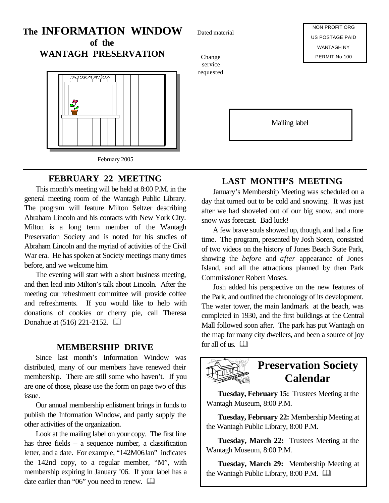# **The INFORMATION WINDOW of the**

**WANTAGH PRESERVATION**



# **FEBRUARY 22 MEETING**

This month's meeting will be held at 8:00 P.M. in the general meeting room of the Wantagh Public Library. The program will feature Milton Seltzer describing Abraham Lincoln and his contacts with New York City. Milton is a long term member of the Wantagh Preservation Society and is noted for his studies of Abraham Lincoln and the myriad of activities of the Civil War era. He has spoken at Society meetings many times before, and we welcome him.

The evening will start with a short business meeting, and then lead into Milton's talk about Lincoln. After the meeting our refreshment committee will provide coffee and refreshments. If you would like to help with donations of cookies or cherry pie, call Theresa Donahue at (516) 221-2152. **and** 

# **MEMBERSHIP DRIVE** for all of us.  $\Box$

Since last month's Information Window was distributed, many of our members have renewed their membership. There are still some who haven't. If you are one of those, please use the form on page two of this issue.

Our annual membership enlistment brings in funds to publish the Information Window, and partly supply the other activities of the organization.

Look at the mailing label on your copy. The first line has three fields – a sequence number, a classification letter, and a date. For example, "142M06Jan" indicates the 142nd copy, to a regular member, "M", with membership expiring in January '06. If your label has a date earlier than "06" you need to renew.  $\Box$ 

Dated material

Change service requested

NON PROFIT ORG US POSTAGE PAID WANTAGH NY PERMIT No 100

Mailing label

# **LAST MONTH'S MEETING**

January's Membership Meeting was scheduled on a day that turned out to be cold and snowing. It was just after we had shoveled out of our big snow, and more snow was forecast. Bad luck!

A few brave souls showed up, though, and had a fine time. The program, presented by Josh Soren, consisted of two videos on the history of Jones Beach State Park, showing the *before* and *after* appearance of Jones Island, and all the attractions planned by then Park Commissioner Robert Moses.

Josh added his perspective on the new features of the Park, and outlined the chronology of its development. The water tower, the main landmark at the beach, was completed in 1930, and the first buildings at the Central Mall followed soon after. The park has put Wantagh on the map for many city dwellers, and been a source of joy



# **Preservation Society Calendar**

**Tuesday, February 15:** Trustees Meeting at the Wantagh Museum, 8:00 P.M.

**Tuesday, February 22:** Membership Meeting at the Wantagh Public Library, 8:00 P.M.

**Tuesday, March 22:** Trustees Meeting at the Wantagh Museum, 8:00 P.M.

**Tuesday, March 29:** Membership Meeting at the Wantagh Public Library,  $8:00$  P.M.  $\Box$